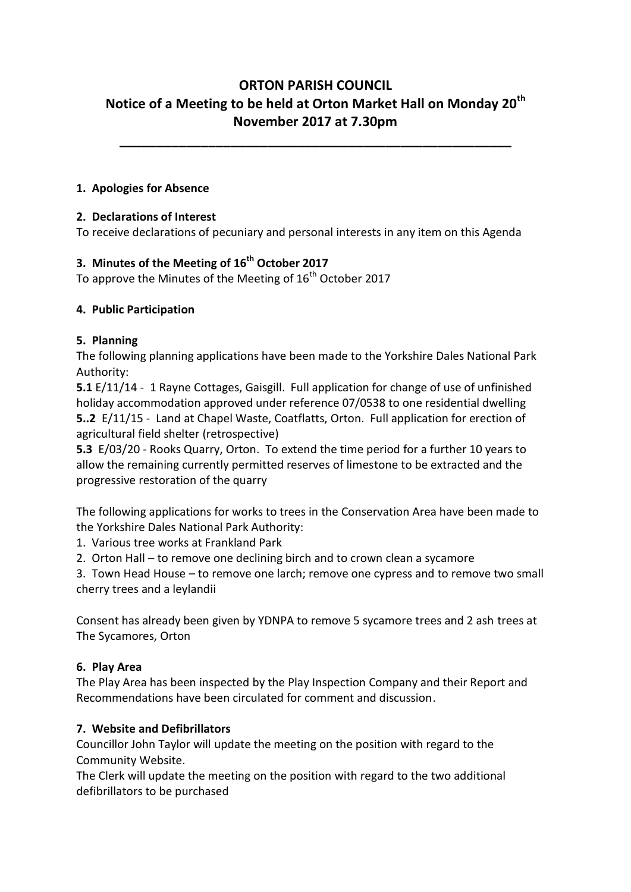# **ORTON PARISH COUNCIL Notice of a Meeting to be held at Orton Market Hall on Monday 20th November 2017 at 7.30pm**

**\_\_\_\_\_\_\_\_\_\_\_\_\_\_\_\_\_\_\_\_\_\_\_\_\_\_\_\_\_\_\_\_\_\_\_\_\_\_\_\_\_\_\_\_\_\_\_\_\_\_\_\_\_**

#### **1. Apologies for Absence**

#### **2. Declarations of Interest**

To receive declarations of pecuniary and personal interests in any item on this Agenda

# **3. Minutes of the Meeting of 16th October 2017**

To approve the Minutes of the Meeting of  $16<sup>th</sup>$  October 2017

#### **4. Public Participation**

#### **5. Planning**

The following planning applications have been made to the Yorkshire Dales National Park Authority:

**5.1** E/11/14 -1 Rayne Cottages, Gaisgill. Full application for change of use of unfinished holiday accommodation approved under reference 07/0538 to one residential dwelling **5..2** E/11/15 - Land at Chapel Waste, Coatflatts, Orton. Full application for erection of agricultural field shelter (retrospective)

**5.3** E/03/20 - Rooks Quarry, Orton. To extend the time period for a further 10 years to allow the remaining currently permitted reserves of limestone to be extracted and the progressive restoration of the quarry

The following applications for works to trees in the Conservation Area have been made to the Yorkshire Dales National Park Authority:

1. Various tree works at Frankland Park

2. Orton Hall – to remove one declining birch and to crown clean a sycamore

3. Town Head House – to remove one larch; remove one cypress and to remove two small cherry trees and a leylandii

Consent has already been given by YDNPA to remove 5 sycamore trees and 2 ash trees at The Sycamores, Orton

### **6. Play Area**

The Play Area has been inspected by the Play Inspection Company and their Report and Recommendations have been circulated for comment and discussion.

#### **7. Website and Defibrillators**

Councillor John Taylor will update the meeting on the position with regard to the Community Website.

The Clerk will update the meeting on the position with regard to the two additional defibrillators to be purchased